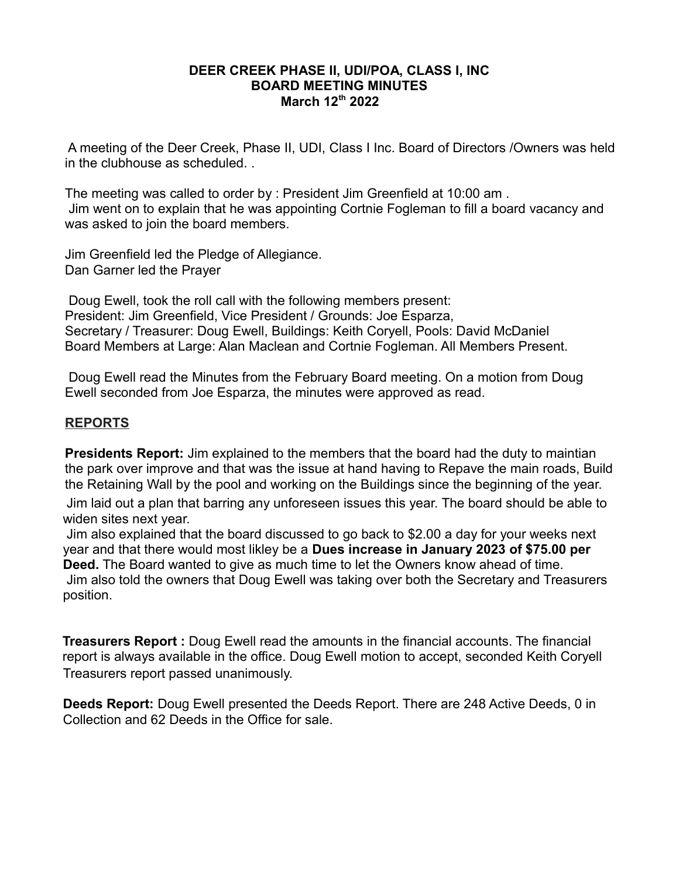A meeting of the Deer Creek, Phase II, UDI, Class I Inc. Board of Directors /Owners was held in the clubhouse as scheduled. .

The meeting was called to order by : President Jim Greenfield at 10:00 am . Jim went on to explain that he was appointing Cortnie Fogleman to fill a board vacancy and was asked to join the board members.

Jim Greenfield led the Pledge of Allegiance. Dan Garner led the Prayer

 Doug Ewell, took the roll call with the following members present: President: Jim Greenfield, Vice President / Grounds: Joe Esparza, Secretary / Treasurer: Doug Ewell, Buildings: Keith Coryell, Pools: David McDaniel Board Members at Large: Alan Maclean and Cortnie Fogleman. All Members Present.

 Doug Ewell read the Minutes from the February Board meeting. On a motion from Doug Ewell seconded from Joe Esparza, the minutes were approved as read.

## **REPORTS**

**Presidents Report:** Jim explained to the members that the board had the duty to maintian the park over improve and that was the issue at hand having to Repave the main roads, Build the Retaining Wall by the pool and working on the Buildings since the beginning of the year.

 Jim laid out a plan that barring any unforeseen issues this year. The board should be able to widen sites next year.

 Jim also explained that the board discussed to go back to \$2.00 a day for your weeks next year and that there would most likley be a **Dues increase in January 2023 of \$75.00 per Deed.** The Board wanted to give as much time to let the Owners know ahead of time. Jim also told the owners that Doug Ewell was taking over both the Secretary and Treasurers position.

**Treasurers Report :** Doug Ewell read the amounts in the financial accounts. The financial report is always available in the office. Doug Ewell motion to accept, seconded Keith Coryell Treasurers report passed unanimously.

**Deeds Report:** Doug Ewell presented the Deeds Report. There are 248 Active Deeds, 0 in Collection and 62 Deeds in the Office for sale.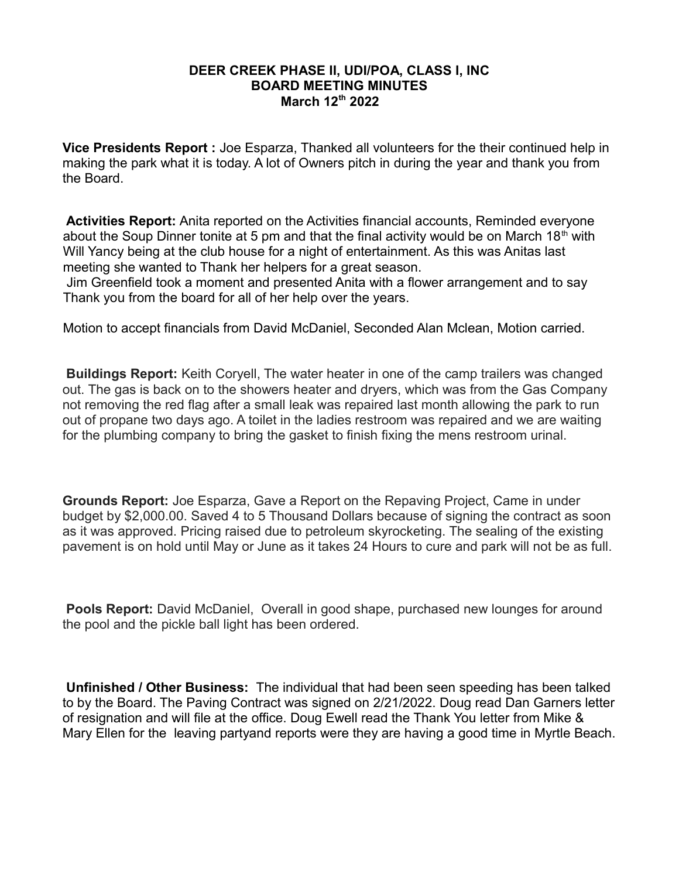**Vice Presidents Report :** Joe Esparza, Thanked all volunteers for the their continued help in making the park what it is today. A lot of Owners pitch in during the year and thank you from the Board.

 **Activities Report:** Anita reported on the Activities financial accounts, Reminded everyone about the Soup Dinner tonite at 5 pm and that the final activity would be on March 18<sup>th</sup> with Will Yancy being at the club house for a night of entertainment. As this was Anitas last meeting she wanted to Thank her helpers for a great season.

 Jim Greenfield took a moment and presented Anita with a flower arrangement and to say Thank you from the board for all of her help over the years.

Motion to accept financials from David McDaniel, Seconded Alan Mclean, Motion carried.

**Buildings Report:** Keith Coryell, The water heater in one of the camp trailers was changed out. The gas is back on to the showers heater and dryers, which was from the Gas Company not removing the red flag after a small leak was repaired last month allowing the park to run out of propane two days ago. A toilet in the ladies restroom was repaired and we are waiting for the plumbing company to bring the gasket to finish fixing the mens restroom urinal.

**Grounds Report:** Joe Esparza, Gave a Report on the Repaving Project, Came in under budget by \$2,000.00. Saved 4 to 5 Thousand Dollars because of signing the contract as soon as it was approved. Pricing raised due to petroleum skyrocketing. The sealing of the existing pavement is on hold until May or June as it takes 24 Hours to cure and park will not be as full.

**Pools Report:** David McDaniel, Overall in good shape, purchased new lounges for around the pool and the pickle ball light has been ordered.

**Unfinished / Other Business:** The individual that had been seen speeding has been talked to by the Board. The Paving Contract was signed on 2/21/2022. Doug read Dan Garners letter of resignation and will file at the office. Doug Ewell read the Thank You letter from Mike & Mary Ellen for the leaving partyand reports were they are having a good time in Myrtle Beach.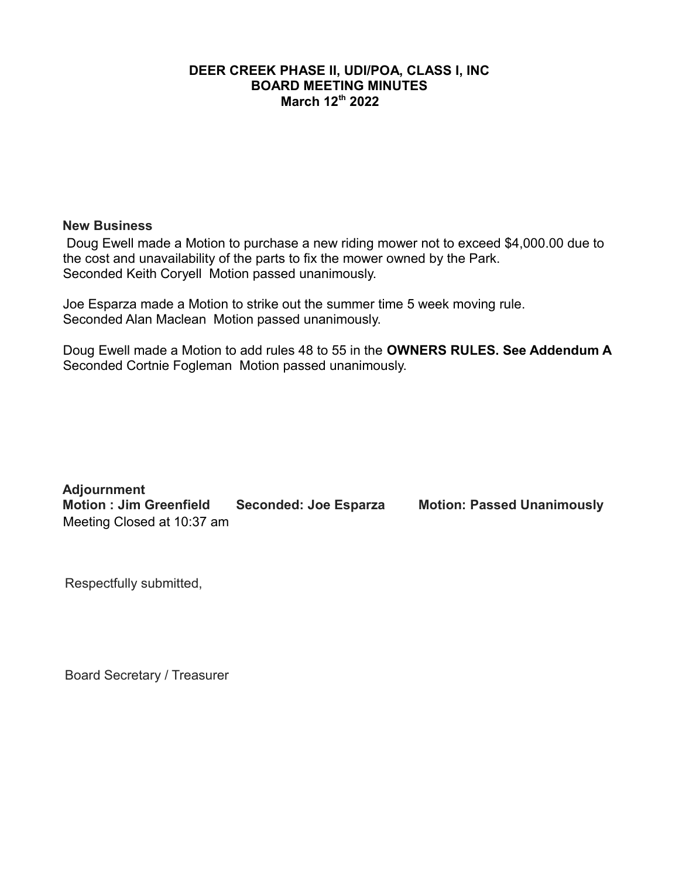#### **New Business**

 Doug Ewell made a Motion to purchase a new riding mower not to exceed \$4,000.00 due to the cost and unavailability of the parts to fix the mower owned by the Park. Seconded Keith Coryell Motion passed unanimously.

Joe Esparza made a Motion to strike out the summer time 5 week moving rule. Seconded Alan Maclean Motion passed unanimously.

Doug Ewell made a Motion to add rules 48 to 55 in the **OWNERS RULES. See Addendum A** Seconded Cortnie Fogleman Motion passed unanimously.

**Adjournment Motion : Jim Greenfield Seconded: Joe Esparza Motion: Passed Unanimously** Meeting Closed at 10:37 am

Respectfully submitted,

Board Secretary / Treasurer